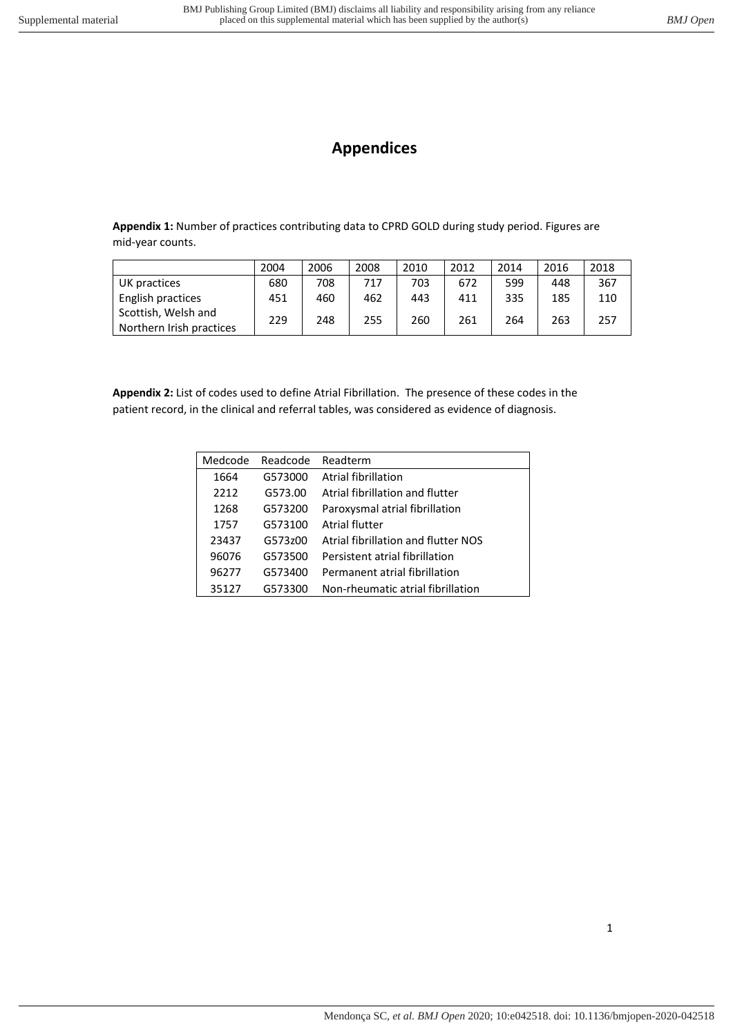## **Appendices**

**Appendix 1:** Number of practices contributing data to CPRD GOLD during study period. Figures are mid-year counts.

|                                                 | 2004 | 2006 | 2008 | 2010 | 2012 | 2014 | 2016 | 2018 |
|-------------------------------------------------|------|------|------|------|------|------|------|------|
| UK practices                                    | 680  | 708  | 717  | 703  | 672  | 599  | 448  | 367  |
| English practices                               | 451  | 460  | 462  | 443  | 411  | 335  | 185  | 110  |
| Scottish, Welsh and<br>Northern Irish practices | 229  | 248  | 255  | 260  | 261  | 264  | 263  | 257  |

**Appendix 2:** List of codes used to define Atrial Fibrillation. The presence of these codes in the patient record, in the clinical and referral tables, was considered as evidence of diagnosis.

| Medcode | Readcode | Readterm                            |
|---------|----------|-------------------------------------|
| 1664    | G573000  | Atrial fibrillation                 |
| 2212    | G573.00  | Atrial fibrillation and flutter     |
| 1268    | G573200  | Paroxysmal atrial fibrillation      |
| 1757    | G573100  | Atrial flutter                      |
| 23437   | G573z00  | Atrial fibrillation and flutter NOS |
| 96076   | G573500  | Persistent atrial fibrillation      |
| 96277   | G573400  | Permanent atrial fibrillation       |
| 35127   | G573300  | Non-rheumatic atrial fibrillation   |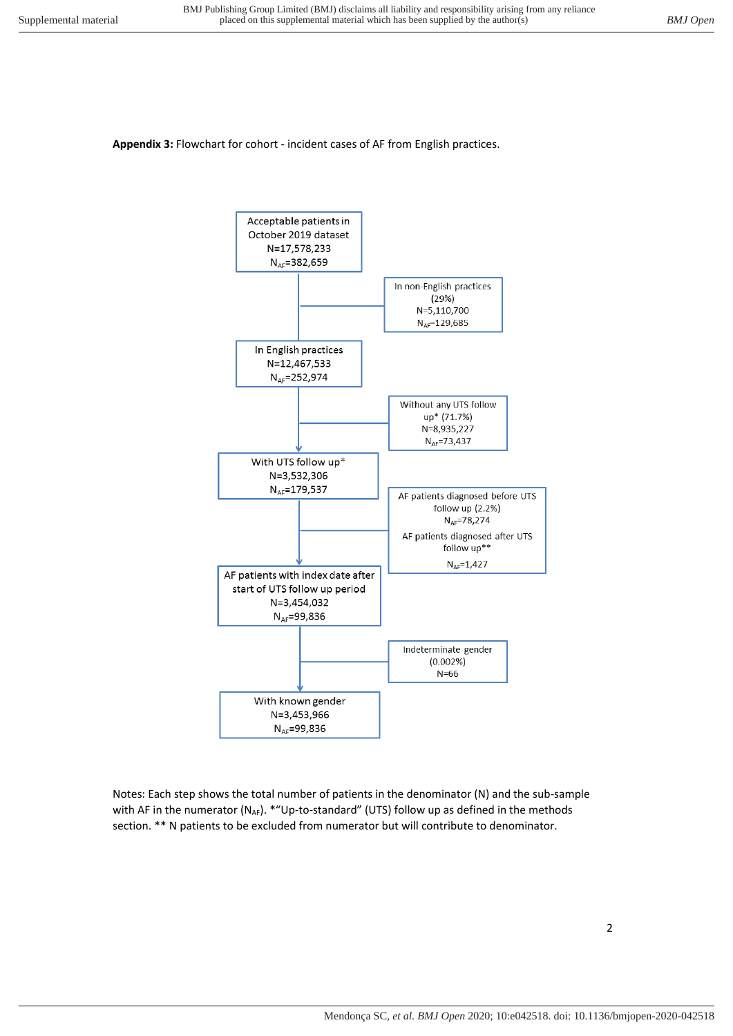## **Appendix 3:** Flowchart for cohort - incident cases of AF from English practices.



Notes: Each step shows the total number of patients in the denominator (N) and the sub-sample with AF in the numerator (N<sub>AF</sub>). \*"Up-to-standard" (UTS) follow up as defined in the methods section. \*\* N patients to be excluded from numerator but will contribute to denominator.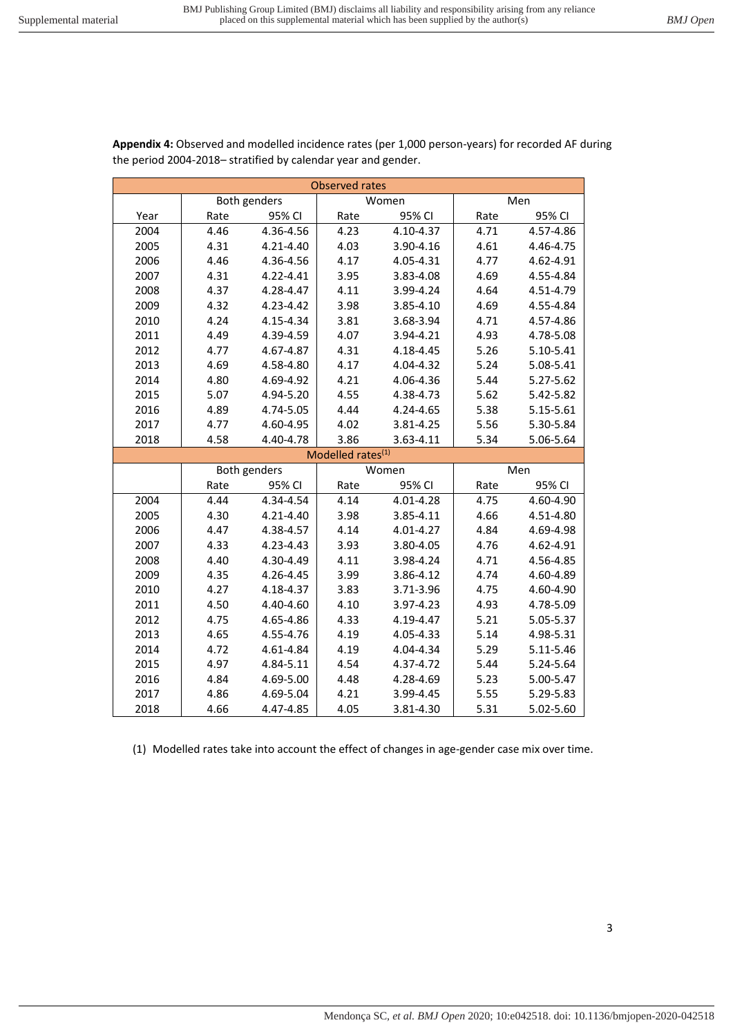|      |      | Both genders |                               | Women     |      | Men       |
|------|------|--------------|-------------------------------|-----------|------|-----------|
| Year | Rate | 95% CI       | Rate                          | 95% CI    | Rate | 95% CI    |
| 2004 | 4.46 | 4.36-4.56    | 4.23                          | 4.10-4.37 | 4.71 | 4.57-4.86 |
| 2005 | 4.31 | 4.21-4.40    | 4.03                          | 3.90-4.16 | 4.61 | 4.46-4.75 |
| 2006 | 4.46 | 4.36-4.56    | 4.17                          | 4.05-4.31 | 4.77 | 4.62-4.91 |
| 2007 | 4.31 | 4.22-4.41    | 3.95                          | 3.83-4.08 | 4.69 | 4.55-4.84 |
| 2008 | 4.37 | 4.28-4.47    | 4.11                          | 3.99-4.24 | 4.64 | 4.51-4.79 |
| 2009 | 4.32 | 4.23-4.42    | 3.98                          | 3.85-4.10 | 4.69 | 4.55-4.84 |
| 2010 | 4.24 | 4.15-4.34    | 3.81                          | 3.68-3.94 | 4.71 | 4.57-4.86 |
| 2011 | 4.49 | 4.39-4.59    | 4.07                          | 3.94-4.21 | 4.93 | 4.78-5.08 |
| 2012 | 4.77 | 4.67-4.87    | 4.31                          | 4.18-4.45 | 5.26 | 5.10-5.41 |
| 2013 | 4.69 | 4.58-4.80    | 4.17                          | 4.04-4.32 | 5.24 | 5.08-5.41 |
| 2014 | 4.80 | 4.69-4.92    | 4.21                          | 4.06-4.36 | 5.44 | 5.27-5.62 |
| 2015 | 5.07 | 4.94-5.20    | 4.55                          | 4.38-4.73 | 5.62 | 5.42-5.82 |
| 2016 | 4.89 | 4.74-5.05    | 4.44                          | 4.24-4.65 | 5.38 | 5.15-5.61 |
| 2017 | 4.77 | 4.60-4.95    | 4.02                          | 3.81-4.25 | 5.56 | 5.30-5.84 |
| 2018 | 4.58 | 4.40-4.78    | 3.86                          | 3.63-4.11 | 5.34 | 5.06-5.64 |
|      |      |              | Modelled rates <sup>(1)</sup> |           |      |           |
|      |      | Both genders |                               | Women     |      | Men       |
|      | Rate | 95% CI       | Rate                          | 95% CI    | Rate | 95% CI    |
| 2004 | 4.44 | 4.34-4.54    | 4.14                          | 4.01-4.28 | 4.75 | 4.60-4.90 |
| 2005 | 4.30 | 4.21-4.40    | 3.98                          | 3.85-4.11 | 4.66 | 4.51-4.80 |
| 2006 | 4.47 | 4.38-4.57    | 4.14                          | 4.01-4.27 | 4.84 | 4.69-4.98 |
| 2007 | 4.33 | 4.23-4.43    | 3.93                          | 3.80-4.05 | 4.76 | 4.62-4.91 |
| 2008 | 4.40 | 4.30-4.49    | 4.11                          | 3.98-4.24 | 4.71 | 4.56-4.85 |
| 2009 | 4.35 | 4.26-4.45    | 3.99                          | 3.86-4.12 | 4.74 | 4.60-4.89 |
| 2010 | 4.27 | 4.18-4.37    | 3.83                          | 3.71-3.96 | 4.75 | 4.60-4.90 |
| 2011 | 4.50 | 4.40-4.60    | 4.10                          | 3.97-4.23 | 4.93 | 4.78-5.09 |
| 2012 | 4.75 | 4.65-4.86    | 4.33                          | 4.19-4.47 | 5.21 | 5.05-5.37 |
| 2013 | 4.65 | 4.55-4.76    | 4.19                          | 4.05-4.33 | 5.14 | 4.98-5.31 |
| 2014 | 4.72 | 4.61-4.84    | 4.19                          | 4.04-4.34 | 5.29 | 5.11-5.46 |
| 2015 | 4.97 | 4.84-5.11    | 4.54                          | 4.37-4.72 | 5.44 | 5.24-5.64 |
| 2016 | 4.84 | 4.69-5.00    | 4.48                          | 4.28-4.69 | 5.23 | 5.00-5.47 |
| 2017 | 4.86 | 4.69-5.04    | 4.21                          | 3.99-4.45 | 5.55 | 5.29-5.83 |
| 2018 | 4.66 | 4.47-4.85    | 4.05                          | 3.81-4.30 | 5.31 | 5.02-5.60 |

**Appendix 4:** Observed and modelled incidence rates (per 1,000 person-years) for recorded AF during the period 2004-2018– stratified by calendar year and gender.

Observed rates

(1) Modelled rates take into account the effect of changes in age-gender case mix over time.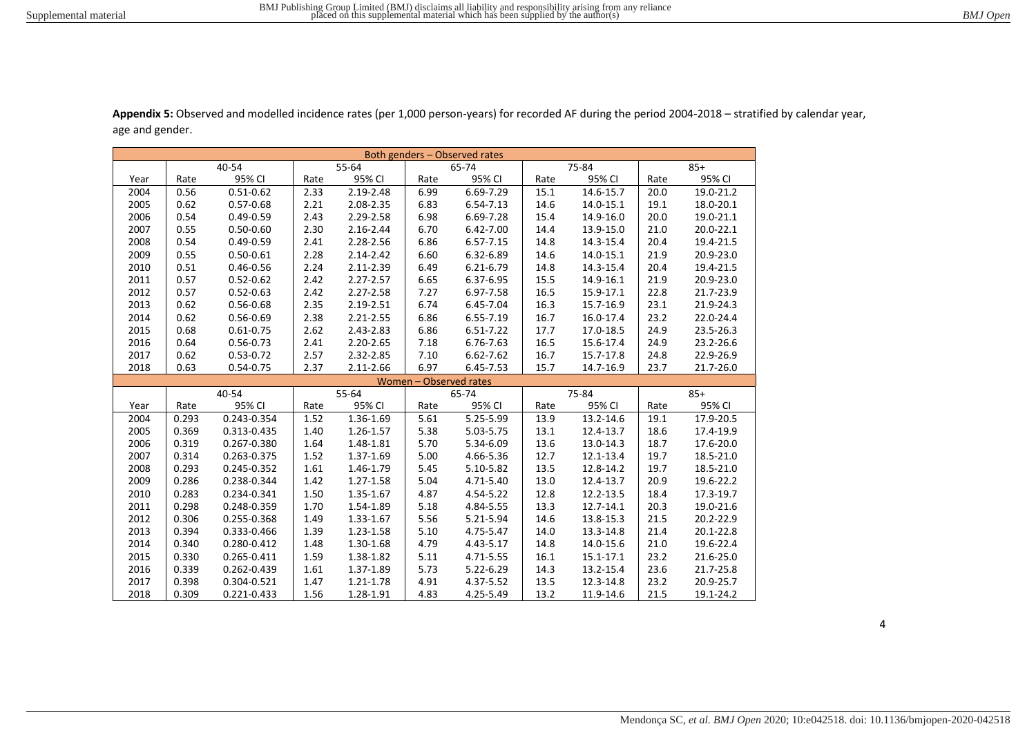| Both genders – Observed rates |       |               |      |               |                        |               |      |           |      |           |
|-------------------------------|-------|---------------|------|---------------|------------------------|---------------|------|-----------|------|-----------|
|                               |       | 40-54         |      | 55-64         |                        | 65-74         |      | 75-84     |      | $85+$     |
| Year                          | Rate  | 95% CI        | Rate | 95% CI        | Rate                   | 95% CI        | Rate | 95% CI    | Rate | 95% CI    |
| 2004                          | 0.56  | $0.51 - 0.62$ | 2.33 | 2.19-2.48     | 6.99                   | 6.69-7.29     | 15.1 | 14.6-15.7 | 20.0 | 19.0-21.2 |
| 2005                          | 0.62  | $0.57 - 0.68$ | 2.21 | 2.08-2.35     | 6.83                   | 6.54-7.13     | 14.6 | 14.0-15.1 | 19.1 | 18.0-20.1 |
| 2006                          | 0.54  | $0.49 - 0.59$ | 2.43 | 2.29-2.58     | 6.98                   | 6.69-7.28     | 15.4 | 14.9-16.0 | 20.0 | 19.0-21.1 |
| 2007                          | 0.55  | $0.50 - 0.60$ | 2.30 | 2.16-2.44     | 6.70                   | 6.42-7.00     | 14.4 | 13.9-15.0 | 21.0 | 20.0-22.1 |
| 2008                          | 0.54  | $0.49 - 0.59$ | 2.41 | 2.28-2.56     | 6.86                   | $6.57 - 7.15$ | 14.8 | 14.3-15.4 | 20.4 | 19.4-21.5 |
| 2009                          | 0.55  | $0.50 - 0.61$ | 2.28 | 2.14-2.42     | 6.60                   | 6.32-6.89     | 14.6 | 14.0-15.1 | 21.9 | 20.9-23.0 |
| 2010                          | 0.51  | $0.46 - 0.56$ | 2.24 | 2.11-2.39     | 6.49                   | 6.21-6.79     | 14.8 | 14.3-15.4 | 20.4 | 19.4-21.5 |
| 2011                          | 0.57  | $0.52 - 0.62$ | 2.42 | 2.27-2.57     | 6.65                   | 6.37-6.95     | 15.5 | 14.9-16.1 | 21.9 | 20.9-23.0 |
| 2012                          | 0.57  | $0.52 - 0.63$ | 2.42 | 2.27-2.58     | 7.27                   | 6.97-7.58     | 16.5 | 15.9-17.1 | 22.8 | 21.7-23.9 |
| 2013                          | 0.62  | 0.56-0.68     | 2.35 | 2.19-2.51     | 6.74                   | 6.45-7.04     | 16.3 | 15.7-16.9 | 23.1 | 21.9-24.3 |
| 2014                          | 0.62  | $0.56 - 0.69$ | 2.38 | $2.21 - 2.55$ | 6.86                   | 6.55-7.19     | 16.7 | 16.0-17.4 | 23.2 | 22.0-24.4 |
| 2015                          | 0.68  | $0.61 - 0.75$ | 2.62 | 2.43-2.83     | 6.86                   | 6.51-7.22     | 17.7 | 17.0-18.5 | 24.9 | 23.5-26.3 |
| 2016                          | 0.64  | $0.56 - 0.73$ | 2.41 | 2.20-2.65     | 7.18                   | 6.76-7.63     | 16.5 | 15.6-17.4 | 24.9 | 23.2-26.6 |
| 2017                          | 0.62  | $0.53 - 0.72$ | 2.57 | 2.32-2.85     | 7.10                   | 6.62-7.62     | 16.7 | 15.7-17.8 | 24.8 | 22.9-26.9 |
| 2018                          | 0.63  | $0.54 - 0.75$ | 2.37 | 2.11-2.66     | 6.97                   | 6.45-7.53     | 15.7 | 14.7-16.9 | 23.7 | 21.7-26.0 |
|                               |       |               |      |               | Women - Observed rates |               |      |           |      |           |
|                               |       | 40-54         |      | 55-64         |                        | 65-74         |      | 75-84     |      | $85+$     |
| Year                          | Rate  | 95% CI        | Rate | 95% CI        | Rate                   | 95% CI        | Rate | 95% CI    | Rate | 95% CI    |
| 2004                          | 0.293 | 0.243-0.354   | 1.52 | 1.36-1.69     | 5.61                   | 5.25-5.99     | 13.9 | 13.2-14.6 | 19.1 | 17.9-20.5 |
| 2005                          | 0.369 | 0.313-0.435   | 1.40 | 1.26-1.57     | 5.38                   | 5.03-5.75     | 13.1 | 12.4-13.7 | 18.6 | 17.4-19.9 |
| 2006                          | 0.319 | 0.267-0.380   | 1.64 | 1.48-1.81     | 5.70                   | 5.34-6.09     | 13.6 | 13.0-14.3 | 18.7 | 17.6-20.0 |
| 2007                          | 0.314 | 0.263-0.375   | 1.52 | 1.37-1.69     | 5.00                   | 4.66-5.36     | 12.7 | 12.1-13.4 | 19.7 | 18.5-21.0 |
| 2008                          | 0.293 | 0.245-0.352   | 1.61 | 1.46-1.79     | 5.45                   | 5.10-5.82     | 13.5 | 12.8-14.2 | 19.7 | 18.5-21.0 |
| 2009                          | 0.286 | 0.238-0.344   | 1.42 | 1.27-1.58     | 5.04                   | 4.71-5.40     | 13.0 | 12.4-13.7 | 20.9 | 19.6-22.2 |
| 2010                          | 0.283 | 0.234-0.341   | 1.50 | 1.35-1.67     | 4.87                   | 4.54-5.22     | 12.8 | 12.2-13.5 | 18.4 | 17.3-19.7 |
| 2011                          | 0.298 | 0.248-0.359   | 1.70 | 1.54-1.89     | 5.18                   | 4.84-5.55     | 13.3 | 12.7-14.1 | 20.3 | 19.0-21.6 |
| 2012                          | 0.306 | 0.255-0.368   | 1.49 | 1.33-1.67     | 5.56                   | 5.21-5.94     | 14.6 | 13.8-15.3 | 21.5 | 20.2-22.9 |
| 2013                          | 0.394 | 0.333-0.466   | 1.39 | 1.23-1.58     | 5.10                   | 4.75-5.47     | 14.0 | 13.3-14.8 | 21.4 | 20.1-22.8 |
| 2014                          | 0.340 | 0.280-0.412   | 1.48 | 1.30-1.68     | 4.79                   | 4.43-5.17     | 14.8 | 14.0-15.6 | 21.0 | 19.6-22.4 |
| 2015                          | 0.330 | 0.265-0.411   | 1.59 | 1.38-1.82     | 5.11                   | 4.71-5.55     | 16.1 | 15.1-17.1 | 23.2 | 21.6-25.0 |
| 2016                          | 0.339 | 0.262-0.439   | 1.61 | 1.37-1.89     | 5.73                   | 5.22-6.29     | 14.3 | 13.2-15.4 | 23.6 | 21.7-25.8 |
| 2017                          | 0.398 | 0.304-0.521   | 1.47 | 1.21-1.78     | 4.91                   | 4.37-5.52     | 13.5 | 12.3-14.8 | 23.2 | 20.9-25.7 |
| 2018                          | 0.309 | 0.221-0.433   | 1.56 | 1.28-1.91     | 4.83                   | 4.25-5.49     | 13.2 | 11.9-14.6 | 21.5 | 19.1-24.2 |

**Appendix 5:** Observed and modelled incidence rates (per 1,000 person-years) for recorded AF during the period 2004-2018 – stratified by calendar year, age and gender.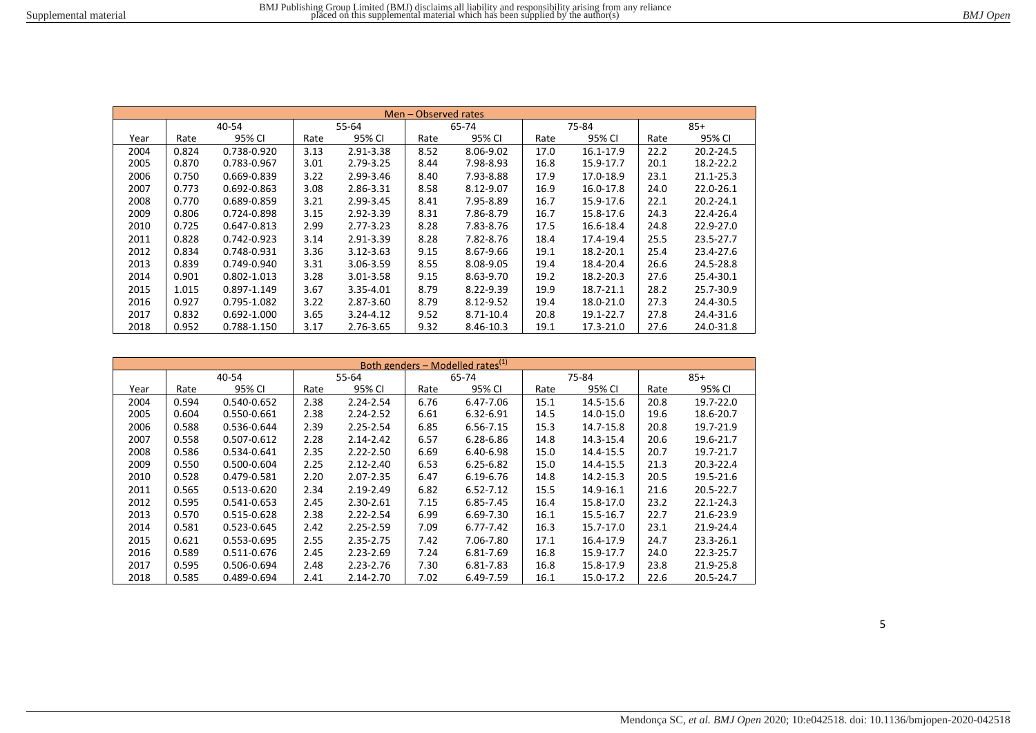|      | Men - Observed rates |             |      |               |      |           |      |           |      |               |  |
|------|----------------------|-------------|------|---------------|------|-----------|------|-----------|------|---------------|--|
|      |                      | 40-54       |      | 55-64         |      | 65-74     |      | 75-84     |      | $85+$         |  |
| Year | Rate                 | 95% CI      | Rate | 95% CI        | Rate | 95% CI    | Rate | 95% CI    | Rate | 95% CI        |  |
| 2004 | 0.824                | 0.738-0.920 | 3.13 | 2.91-3.38     | 8.52 | 8.06-9.02 | 17.0 | 16.1-17.9 | 22.2 | $20.2 - 24.5$ |  |
| 2005 | 0.870                | 0.783-0.967 | 3.01 | 2.79-3.25     | 8.44 | 7.98-8.93 | 16.8 | 15.9-17.7 | 20.1 | 18.2-22.2     |  |
| 2006 | 0.750                | 0.669-0.839 | 3.22 | 2.99-3.46     | 8.40 | 7.93-8.88 | 17.9 | 17.0-18.9 | 23.1 | $21.1 - 25.3$ |  |
| 2007 | 0.773                | 0.692-0.863 | 3.08 | 2.86-3.31     | 8.58 | 8.12-9.07 | 16.9 | 16.0-17.8 | 24.0 | 22.0-26.1     |  |
| 2008 | 0.770                | 0.689-0.859 | 3.21 | 2.99-3.45     | 8.41 | 7.95-8.89 | 16.7 | 15.9-17.6 | 22.1 | $20.2 - 24.1$ |  |
| 2009 | 0.806                | 0.724-0.898 | 3.15 | 2.92-3.39     | 8.31 | 7.86-8.79 | 16.7 | 15.8-17.6 | 24.3 | 22.4-26.4     |  |
| 2010 | 0.725                | 0.647-0.813 | 2.99 | $2.77 - 3.23$ | 8.28 | 7.83-8.76 | 17.5 | 16.6-18.4 | 24.8 | 22.9-27.0     |  |
| 2011 | 0.828                | 0.742-0.923 | 3.14 | 2.91-3.39     | 8.28 | 7.82-8.76 | 18.4 | 17.4-19.4 | 25.5 | 23.5-27.7     |  |
| 2012 | 0.834                | 0.748-0.931 | 3.36 | $3.12 - 3.63$ | 9.15 | 8.67-9.66 | 19.1 | 18.2-20.1 | 25.4 | 23.4-27.6     |  |
| 2013 | 0.839                | 0.749-0.940 | 3.31 | 3.06-3.59     | 8.55 | 8.08-9.05 | 19.4 | 18.4-20.4 | 26.6 | 24.5-28.8     |  |
| 2014 | 0.901                | 0.802-1.013 | 3.28 | $3.01 - 3.58$ | 9.15 | 8.63-9.70 | 19.2 | 18.2-20.3 | 27.6 | 25.4-30.1     |  |
| 2015 | 1.015                | 0.897-1.149 | 3.67 | 3.35-4.01     | 8.79 | 8.22-9.39 | 19.9 | 18.7-21.1 | 28.2 | 25.7-30.9     |  |
| 2016 | 0.927                | 0.795-1.082 | 3.22 | 2.87-3.60     | 8.79 | 8.12-9.52 | 19.4 | 18.0-21.0 | 27.3 | 24.4-30.5     |  |
| 2017 | 0.832                | 0.692-1.000 | 3.65 | $3.24 - 4.12$ | 9.52 | 8.71-10.4 | 20.8 | 19.1-22.7 | 27.8 | 24.4-31.6     |  |
| 2018 | 0.952                | 0.788-1.150 | 3.17 | 2.76-3.65     | 9.32 | 8.46-10.3 | 19.1 | 17.3-21.0 | 27.6 | 24.0-31.8     |  |

| <u>Both genders – Modelled rates<sup>(1)</sup></u> |       |             |      |               |      |               |      |           |      |               |
|----------------------------------------------------|-------|-------------|------|---------------|------|---------------|------|-----------|------|---------------|
|                                                    |       | 40-54       |      | 55-64         |      | 65-74         |      | 75-84     |      | $85+$         |
| Year                                               | Rate  | 95% CI      | Rate | 95% CI        | Rate | 95% CI        | Rate | 95% CI    | Rate | 95% CI        |
| 2004                                               | 0.594 | 0.540-0.652 | 2.38 | 2.24-2.54     | 6.76 | 6.47-7.06     | 15.1 | 14.5-15.6 | 20.8 | 19.7-22.0     |
| 2005                                               | 0.604 | 0.550-0.661 | 2.38 | $2.24 - 2.52$ | 6.61 | 6.32-6.91     | 14.5 | 14.0-15.0 | 19.6 | 18.6-20.7     |
| 2006                                               | 0.588 | 0.536-0.644 | 2.39 | $2.25 - 2.54$ | 6.85 | 6.56-7.15     | 15.3 | 14.7-15.8 | 20.8 | 19.7-21.9     |
| 2007                                               | 0.558 | 0.507-0.612 | 2.28 | $2.14 - 2.42$ | 6.57 | 6.28-6.86     | 14.8 | 14.3-15.4 | 20.6 | 19.6-21.7     |
| 2008                                               | 0.586 | 0.534-0.641 | 2.35 | $2.22 - 2.50$ | 6.69 | 6.40-6.98     | 15.0 | 14.4-15.5 | 20.7 | 19.7-21.7     |
| 2009                                               | 0.550 | 0.500-0.604 | 2.25 | $2.12 - 2.40$ | 6.53 | $6.25 - 6.82$ | 15.0 | 14.4-15.5 | 21.3 | 20.3-22.4     |
| 2010                                               | 0.528 | 0.479-0.581 | 2.20 | 2.07-2.35     | 6.47 | 6.19-6.76     | 14.8 | 14.2-15.3 | 20.5 | 19.5-21.6     |
| 2011                                               | 0.565 | 0.513-0.620 | 2.34 | 2.19-2.49     | 6.82 | $6.52 - 7.12$ | 15.5 | 14.9-16.1 | 21.6 | 20.5-22.7     |
| 2012                                               | 0.595 | 0.541-0.653 | 2.45 | 2.30-2.61     | 7.15 | 6.85-7.45     | 16.4 | 15.8-17.0 | 23.2 | $22.1 - 24.3$ |
| 2013                                               | 0.570 | 0.515-0.628 | 2.38 | $2.22 - 2.54$ | 6.99 | 6.69-7.30     | 16.1 | 15.5-16.7 | 22.7 | 21.6-23.9     |
| 2014                                               | 0.581 | 0.523-0.645 | 2.42 | $2.25 - 2.59$ | 7.09 | $6.77 - 7.42$ | 16.3 | 15.7-17.0 | 23.1 | 21.9-24.4     |
| 2015                                               | 0.621 | 0.553-0.695 | 2.55 | 2.35-2.75     | 7.42 | 7.06-7.80     | 17.1 | 16.4-17.9 | 24.7 | 23.3-26.1     |
| 2016                                               | 0.589 | 0.511-0.676 | 2.45 | $2.23 - 2.69$ | 7.24 | 6.81-7.69     | 16.8 | 15.9-17.7 | 24.0 | 22.3-25.7     |
| 2017                                               | 0.595 | 0.506-0.694 | 2.48 | $2.23 - 2.76$ | 7.30 | 6.81-7.83     | 16.8 | 15.8-17.9 | 23.8 | 21.9-25.8     |
| 2018                                               | 0.585 | 0.489-0.694 | 2.41 | 2.14-2.70     | 7.02 | 6.49-7.59     | 16.1 | 15.0-17.2 | 22.6 | 20.5-24.7     |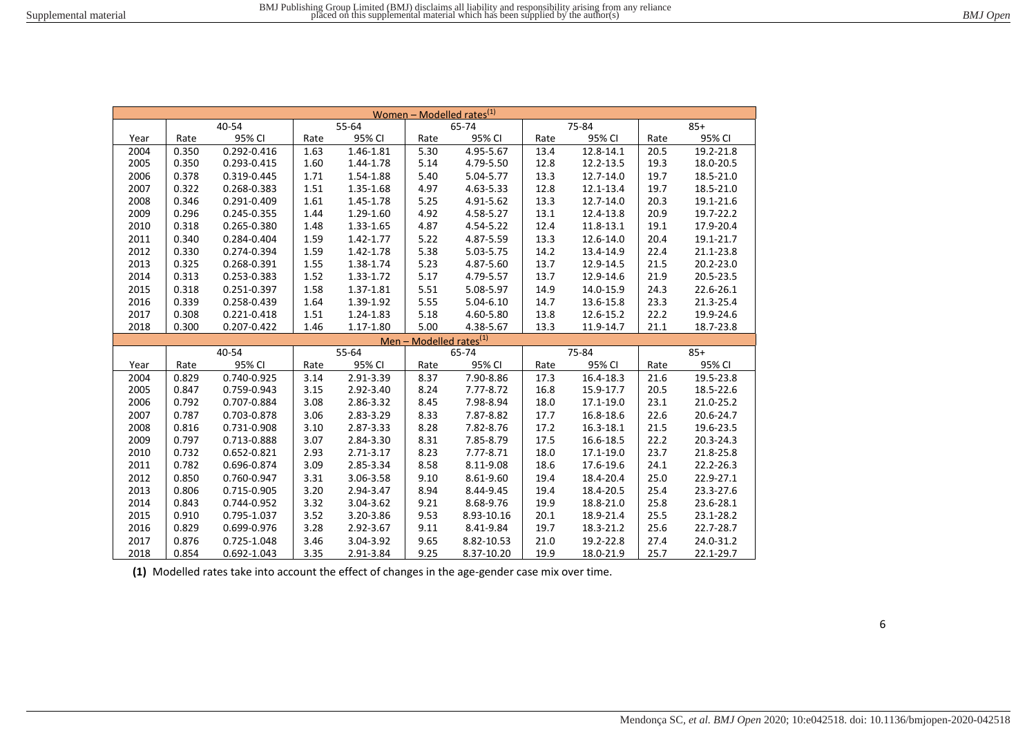| Women – Modelled rates <sup>(1)</sup> |       |             |       |               |                                     |               |      |           |      |           |
|---------------------------------------|-------|-------------|-------|---------------|-------------------------------------|---------------|------|-----------|------|-----------|
|                                       |       | 40-54       |       | 55-64         |                                     | 65-74         |      | 75-84     |      | $85+$     |
| Year                                  | Rate  | 95% CI      | Rate  | 95% CI        | Rate                                | 95% CI        | Rate | 95% CI    | Rate | 95% CI    |
| 2004                                  | 0.350 | 0.292-0.416 | 1.63  | 1.46-1.81     | 5.30                                | 4.95-5.67     | 13.4 | 12.8-14.1 | 20.5 | 19.2-21.8 |
| 2005                                  | 0.350 | 0.293-0.415 | 1.60  | 1.44-1.78     | 5.14                                | 4.79-5.50     | 12.8 | 12.2-13.5 | 19.3 | 18.0-20.5 |
| 2006                                  | 0.378 | 0.319-0.445 | 1.71  | 1.54-1.88     | 5.40                                | 5.04-5.77     | 13.3 | 12.7-14.0 | 19.7 | 18.5-21.0 |
| 2007                                  | 0.322 | 0.268-0.383 | 1.51  | 1.35-1.68     | 4.97                                | 4.63-5.33     | 12.8 | 12.1-13.4 | 19.7 | 18.5-21.0 |
| 2008                                  | 0.346 | 0.291-0.409 | 1.61  | 1.45-1.78     | 5.25                                | 4.91-5.62     | 13.3 | 12.7-14.0 | 20.3 | 19.1-21.6 |
| 2009                                  | 0.296 | 0.245-0.355 | 1.44  | 1.29-1.60     | 4.92                                | 4.58-5.27     | 13.1 | 12.4-13.8 | 20.9 | 19.7-22.2 |
| 2010                                  | 0.318 | 0.265-0.380 | 1.48  | 1.33-1.65     | 4.87                                | 4.54-5.22     | 12.4 | 11.8-13.1 | 19.1 | 17.9-20.4 |
| 2011                                  | 0.340 | 0.284-0.404 | 1.59  | 1.42-1.77     | 5.22                                | 4.87-5.59     | 13.3 | 12.6-14.0 | 20.4 | 19.1-21.7 |
| 2012                                  | 0.330 | 0.274-0.394 | 1.59  | 1.42-1.78     | 5.38                                | 5.03-5.75     | 14.2 | 13.4-14.9 | 22.4 | 21.1-23.8 |
| 2013                                  | 0.325 | 0.268-0.391 | 1.55  | 1.38-1.74     | 5.23                                | 4.87-5.60     | 13.7 | 12.9-14.5 | 21.5 | 20.2-23.0 |
| 2014                                  | 0.313 | 0.253-0.383 | 1.52  | 1.33-1.72     | 5.17                                | 4.79-5.57     | 13.7 | 12.9-14.6 | 21.9 | 20.5-23.5 |
| 2015                                  | 0.318 | 0.251-0.397 | 1.58  | $1.37 - 1.81$ | 5.51                                | 5.08-5.97     | 14.9 | 14.0-15.9 | 24.3 | 22.6-26.1 |
| 2016                                  | 0.339 | 0.258-0.439 | 1.64  | 1.39-1.92     | 5.55                                | $5.04 - 6.10$ | 14.7 | 13.6-15.8 | 23.3 | 21.3-25.4 |
| 2017                                  | 0.308 | 0.221-0.418 | 1.51  | 1.24-1.83     | 5.18                                | 4.60-5.80     | 13.8 | 12.6-15.2 | 22.2 | 19.9-24.6 |
| 2018                                  | 0.300 | 0.207-0.422 | 1.46  | 1.17-1.80     | 5.00                                | 4.38-5.67     | 13.3 | 11.9-14.7 | 21.1 | 18.7-23.8 |
|                                       |       |             |       |               | Men – Modelled rates <sup>(1)</sup> |               |      |           |      |           |
|                                       |       | 40-54       | 55-64 |               |                                     | 65-74         |      | 75-84     |      | $85+$     |
| Year                                  | Rate  | 95% CI      | Rate  | 95% CI        | Rate                                | 95% CI        | Rate | 95% CI    | Rate | 95% CI    |
| 2004                                  | 0.829 | 0.740-0.925 | 3.14  | 2.91-3.39     | 8.37                                | 7.90-8.86     | 17.3 | 16.4-18.3 | 21.6 | 19.5-23.8 |
| 2005                                  | 0.847 | 0.759-0.943 | 3.15  | 2.92-3.40     | 8.24                                | 7.77-8.72     | 16.8 | 15.9-17.7 | 20.5 | 18.5-22.6 |
| 2006                                  | 0.792 | 0.707-0.884 | 3.08  | 2.86-3.32     | 8.45                                | 7.98-8.94     | 18.0 | 17.1-19.0 | 23.1 | 21.0-25.2 |
| 2007                                  | 0.787 | 0.703-0.878 | 3.06  | 2.83-3.29     | 8.33                                | 7.87-8.82     | 17.7 | 16.8-18.6 | 22.6 | 20.6-24.7 |
| 2008                                  | 0.816 | 0.731-0.908 | 3.10  | 2.87-3.33     | 8.28                                | 7.82-8.76     | 17.2 | 16.3-18.1 | 21.5 | 19.6-23.5 |
| 2009                                  | 0.797 | 0.713-0.888 | 3.07  | 2.84-3.30     | 8.31                                | 7.85-8.79     | 17.5 | 16.6-18.5 | 22.2 | 20.3-24.3 |
| 2010                                  | 0.732 | 0.652-0.821 | 2.93  | 2.71-3.17     | 8.23                                | 7.77-8.71     | 18.0 | 17.1-19.0 | 23.7 | 21.8-25.8 |
| 2011                                  | 0.782 | 0.696-0.874 | 3.09  | 2.85-3.34     | 8.58                                | 8.11-9.08     | 18.6 | 17.6-19.6 | 24.1 | 22.2-26.3 |
| 2012                                  | 0.850 | 0.760-0.947 | 3.31  | 3.06-3.58     | 9.10                                | 8.61-9.60     | 19.4 | 18.4-20.4 | 25.0 | 22.9-27.1 |
| 2013                                  | 0.806 | 0.715-0.905 | 3.20  | 2.94-3.47     | 8.94                                | 8.44-9.45     | 19.4 | 18.4-20.5 | 25.4 | 23.3-27.6 |
| 2014                                  | 0.843 | 0.744-0.952 | 3.32  | 3.04-3.62     | 9.21                                | 8.68-9.76     | 19.9 | 18.8-21.0 | 25.8 | 23.6-28.1 |
| 2015                                  | 0.910 | 0.795-1.037 | 3.52  | 3.20-3.86     | 9.53                                | 8.93-10.16    | 20.1 | 18.9-21.4 | 25.5 | 23.1-28.2 |
| 2016                                  | 0.829 | 0.699-0.976 | 3.28  | 2.92-3.67     | 9.11                                | 8.41-9.84     | 19.7 | 18.3-21.2 | 25.6 | 22.7-28.7 |
| 2017                                  | 0.876 | 0.725-1.048 | 3.46  | 3.04-3.92     | 9.65                                | 8.82-10.53    | 21.0 | 19.2-22.8 | 27.4 | 24.0-31.2 |
| 2018                                  | 0.854 | 0.692-1.043 | 3.35  | 2.91-3.84     | 9.25                                | 8.37-10.20    | 19.9 | 18.0-21.9 | 25.7 | 22.1-29.7 |

**(1)** Modelled rates take into account the effect of changes in the age-gender case mix over time.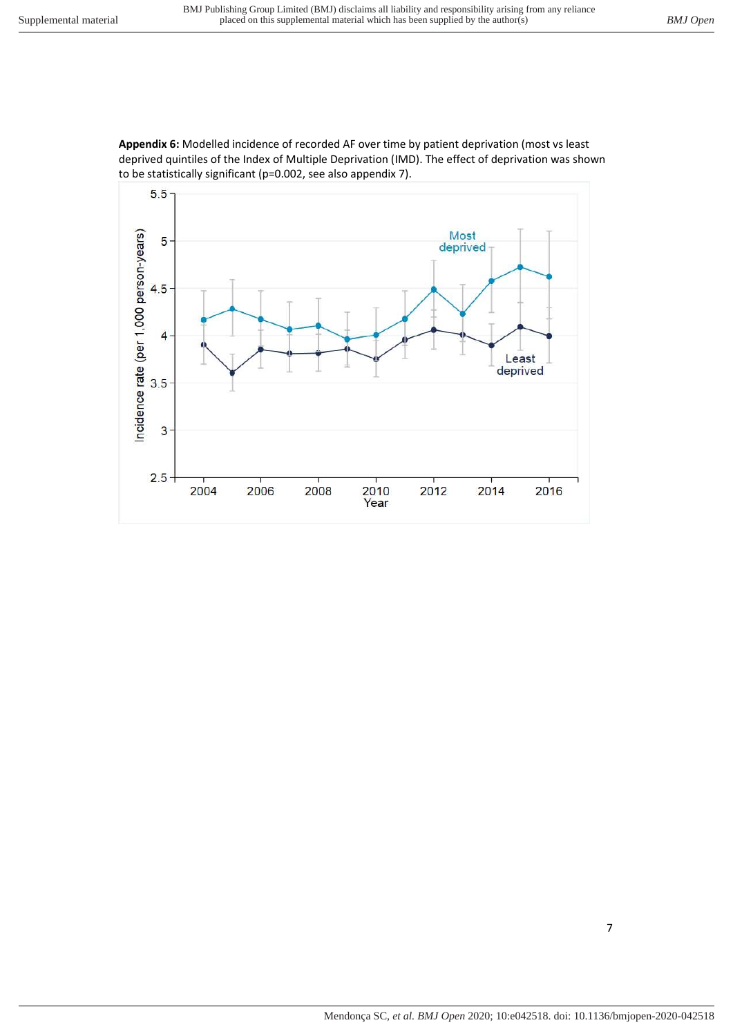

**Appendix 6:** Modelled incidence of recorded AF over time by patient deprivation (most vs least deprived quintiles of the Index of Multiple Deprivation (IMD). The effect of deprivation was shown to be statistically significant (p=0.002, see also appendix 7).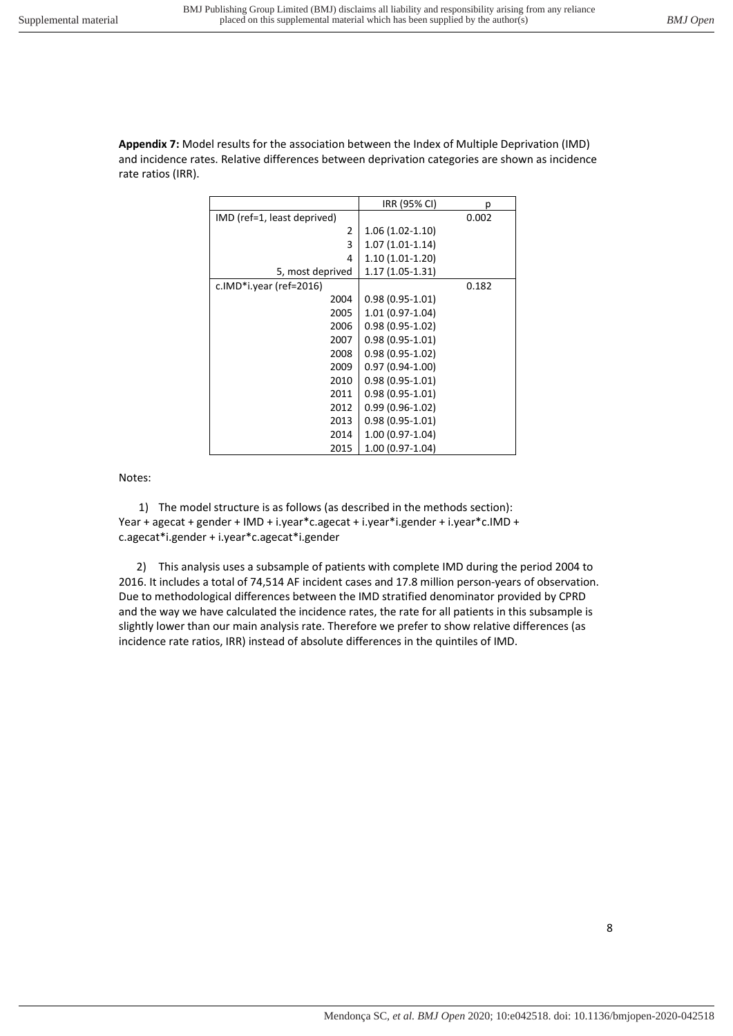**Appendix 7:** Model results for the association between the Index of Multiple Deprivation (IMD) and incidence rates. Relative differences between deprivation categories are shown as incidence rate ratios (IRR).

|                             | IRR (95% CI)      | р     |
|-----------------------------|-------------------|-------|
| IMD (ref=1, least deprived) |                   | 0.002 |
| 2                           | $1.06(1.02-1.10)$ |       |
| 3                           | $1.07(1.01-1.14)$ |       |
| 4                           | 1.10 (1.01-1.20)  |       |
| 5, most deprived            | 1.17 (1.05-1.31)  |       |
| c.IMD*i.year (ref=2016)     |                   | 0.182 |
| 2004                        | $0.98(0.95-1.01)$ |       |
| 2005                        | 1.01 (0.97-1.04)  |       |
| 2006                        | $0.98(0.95-1.02)$ |       |
| 2007                        | $0.98(0.95-1.01)$ |       |
| 2008                        | $0.98(0.95-1.02)$ |       |
| 2009                        | $0.97(0.94-1.00)$ |       |
| 2010                        | $0.98(0.95-1.01)$ |       |
| 2011                        | $0.98(0.95-1.01)$ |       |
| 2012                        | $0.99(0.96-1.02)$ |       |
| 2013                        | $0.98(0.95-1.01)$ |       |
| 2014                        | 1.00 (0.97-1.04)  |       |
| 2015                        | 1.00 (0.97-1.04)  |       |

Notes:

1) The model structure is as follows (as described in the methods section): Year + agecat + gender + IMD + i.year\*c.agecat + i.year\*i.gender + i.year\*c.IMD + c.agecat\*i.gender + i.year\*c.agecat\*i.gender

2) This analysis uses a subsample of patients with complete IMD during the period 2004 to 2016. It includes a total of 74,514 AF incident cases and 17.8 million person-years of observation. Due to methodological differences between the IMD stratified denominator provided by CPRD and the way we have calculated the incidence rates, the rate for all patients in this subsample is slightly lower than our main analysis rate. Therefore we prefer to show relative differences (as incidence rate ratios, IRR) instead of absolute differences in the quintiles of IMD.